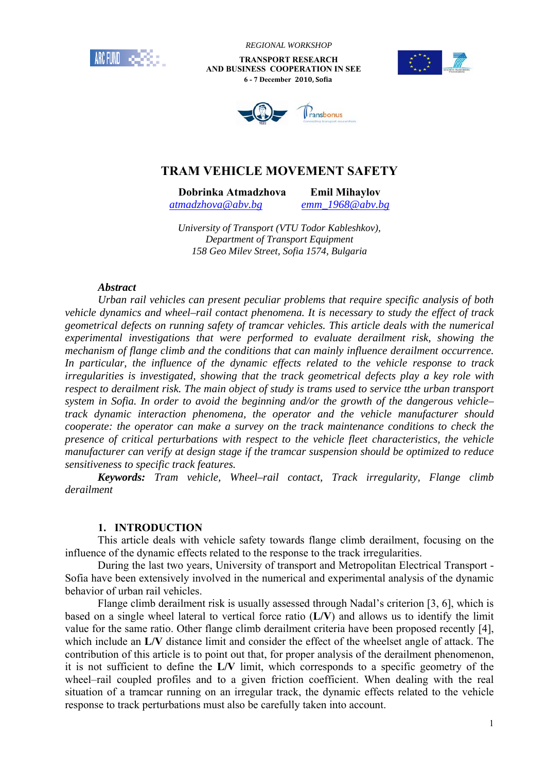

 *REGIONAL WORKSHOP*

 **TRANSPORT RESEARCH AND BUSINESS COOPERATION IN SEE 6 - 7 December 2010, Sofia**





# **TRAM VEHICLE MOVEMENT SAFETY**

**Dobrinka Atmadzhova Emil Mihaylov** 

*atmadzhova@abv.bg emm\_1968@abv.bg*

*University of Transport (VTU Todor Kableshkov), Department of Transport Equipment 158 Geo Milev Street, Sofia 1574, Bulgaria* 

#### *Abstract*

*Urban rail vehicles can present peculiar problems that require specific analysis of both vehicle dynamics and wheel–rail contact phenomena. It is necessary to study the effect of track geometrical defects on running safety of tramcar vehicles. This article deals with the numerical experimental investigations that were performed to evaluate derailment risk, showing the mechanism of flange climb and the conditions that can mainly influence derailment occurrence. In particular, the influence of the dynamic effects related to the vehicle response to track irregularities is investigated, showing that the track geometrical defects play a key role with respect to derailment risk. The main object of study is trams used to service tthe urban transport system in Sofia. In order to avoid the beginning and/or the growth of the dangerous vehicle– track dynamic interaction phenomena, the operator and the vehicle manufacturer should cooperate: the operator can make a survey on the track maintenance conditions to check the presence of critical perturbations with respect to the vehicle fleet characteristics, the vehicle manufacturer can verify at design stage if the tramcar suspension should be optimized to reduce sensitiveness to specific track features.* 

*Keywords: Tram vehicle, Wheel–rail contact, Track irregularity, Flange climb derailment* 

#### **1. INTRODUCTION**

This article deals with vehicle safety towards flange climb derailment, focusing on the influence of the dynamic effects related to the response to the track irregularities.

During the last two years, University of transport and Metropolitan Electrical Transport - Sofia have been extensively involved in the numerical and experimental analysis of the dynamic behavior of urban rail vehicles.

Flange climb derailment risk is usually assessed through Nadal's criterion [3, 6], which is based on a single wheel lateral to vertical force ratio (**L/V**) and allows us to identify the limit value for the same ratio. Other flange climb derailment criteria have been proposed recently [4], which include an **L/V** distance limit and consider the effect of the wheelset angle of attack. The contribution of this article is to point out that, for proper analysis of the derailment phenomenon, it is not sufficient to define the **L/V** limit, which corresponds to a specific geometry of the wheel–rail coupled profiles and to a given friction coefficient. When dealing with the real situation of a tramcar running on an irregular track, the dynamic effects related to the vehicle response to track perturbations must also be carefully taken into account.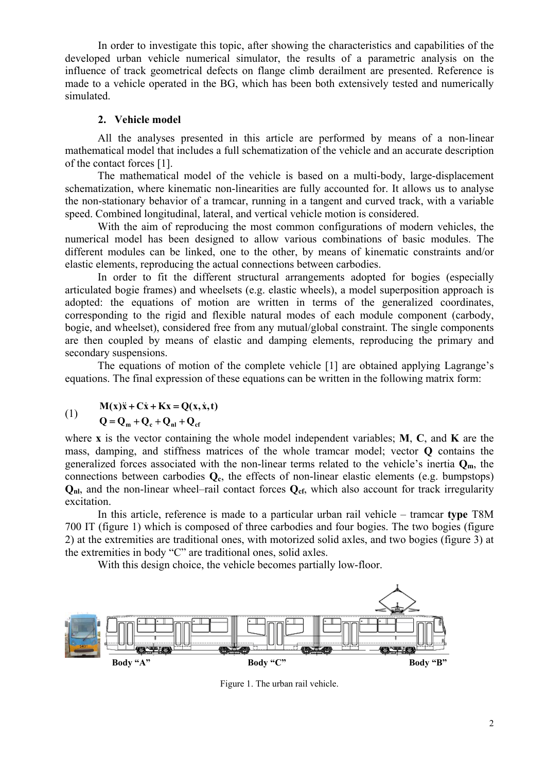In order to investigate this topic, after showing the characteristics and capabilities of the developed urban vehicle numerical simulator, the results of a parametric analysis on the influence of track geometrical defects on flange climb derailment are presented. Reference is made to a vehicle operated in the BG, which has been both extensively tested and numerically simulated.

#### **2. Vehicle model**

All the analyses presented in this article are performed by means of a non-linear mathematical model that includes a full schematization of the vehicle and an accurate description of the contact forces [1].

The mathematical model of the vehicle is based on a multi-body, large-displacement schematization, where kinematic non-linearities are fully accounted for. It allows us to analyse the non-stationary behavior of a tramcar, running in a tangent and curved track, with a variable speed. Combined longitudinal, lateral, and vertical vehicle motion is considered.

With the aim of reproducing the most common configurations of modern vehicles, the numerical model has been designed to allow various combinations of basic modules. The different modules can be linked, one to the other, by means of kinematic constraints and/or elastic elements, reproducing the actual connections between carbodies.

In order to fit the different structural arrangements adopted for bogies (especially articulated bogie frames) and wheelsets (e.g. elastic wheels), a model superposition approach is adopted: the equations of motion are written in terms of the generalized coordinates, corresponding to the rigid and flexible natural modes of each module component (carbody, bogie, and wheelset), considered free from any mutual/global constraint. The single components are then coupled by means of elastic and damping elements, reproducing the primary and secondary suspensions.

The equations of motion of the complete vehicle [1] are obtained applying Lagrange's equations. The final expression of these equations can be written in the following matrix form:

## $M(x)\ddot{x} + C\dot{x} + Kx = Q(x, \dot{x}, t)$

# (1)  $Q = Q_m + Q_c + Q_{nl} + Q_{ct}$

where **x** is the vector containing the whole model independent variables; **M**, **C**, and **K** are the mass, damping, and stiffness matrices of the whole tramcar model; vector **Q** contains the generalized forces associated with the non-linear terms related to the vehicle's inertia  $Q_m$ , the connections between carbodies **Qc**, the effects of non-linear elastic elements (e.g. bumpstops) **Q<sub>nl</sub>**, and the non-linear wheel–rail contact forces **Q**<sub>cf</sub>, which also account for track irregularity excitation.

In this article, reference is made to a particular urban rail vehicle – tramcar **type** T8M 700 IT (figure 1) which is composed of three carbodies and four bogies. The two bogies (figure 2) at the extremities are traditional ones, with motorized solid axles, and two bogies (figure 3) at the extremities in body "C" are traditional ones, solid axles.

With this design choice, the vehicle becomes partially low-floor.



Figure 1. The urban rail vehicle.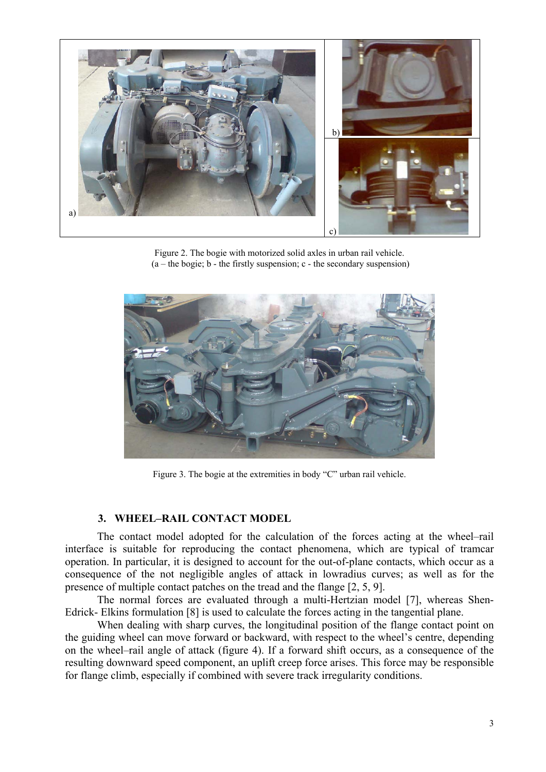

Figure 2. The bogie with motorized solid axles in urban rail vehicle.  $(a - the logic; b - the firstly suspension; c - the secondary suspension)$ 



Figure 3. The bogie at the extremities in body "C" urban rail vehicle.

#### **3. WHEEL–RAIL CONTACT MODEL**

The contact model adopted for the calculation of the forces acting at the wheel–rail interface is suitable for reproducing the contact phenomena, which are typical of tramcar operation. In particular, it is designed to account for the out-of-plane contacts, which occur as a consequence of the not negligible angles of attack in lowradius curves; as well as for the presence of multiple contact patches on the tread and the flange [2, 5, 9].

The normal forces are evaluated through a multi-Hertzian model [7], whereas Shen-Edrick- Elkins formulation [8] is used to calculate the forces acting in the tangential plane.

When dealing with sharp curves, the longitudinal position of the flange contact point on the guiding wheel can move forward or backward, with respect to the wheel's centre, depending on the wheel–rail angle of attack (figure 4). If a forward shift occurs, as a consequence of the resulting downward speed component, an uplift creep force arises. This force may be responsible for flange climb, especially if combined with severe track irregularity conditions.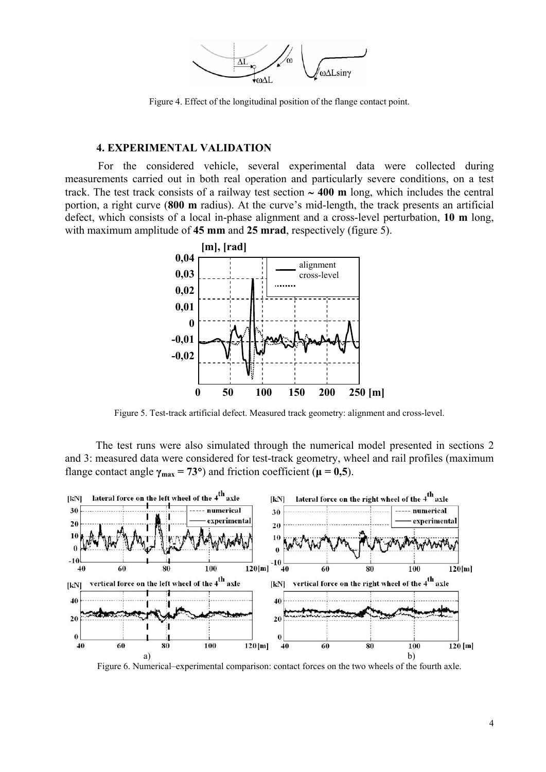

Figure 4. Effect of the longitudinal position of the flange contact point.

#### **4. EXPERIMENTAL VALIDATION**

 For the considered vehicle, several experimental data were collected during measurements carried out in both real operation and particularly severe conditions, on a test track. The test track consists of a railway test section ∼ **400 m** long, which includes the central portion, a right curve (**800 m** radius). At the curve's mid-length, the track presents an artificial defect, which consists of a local in-phase alignment and a cross-level perturbation, **10 m** long, with maximum amplitude of **45 mm** and **25 mrad**, respectively (figure 5).



Figure 5. Test-track artificial defect. Measured track geometry: alignment and cross-level.

The test runs were also simulated through the numerical model presented in sections 2 and 3: measured data were considered for test-track geometry, wheel and rail profiles (maximum flange contact angle  $\gamma_{\text{max}} = 73^{\circ}$ ) and friction coefficient ( $\mu = 0.5$ ).



Figure 6. Numerical–experimental comparison: contact forces on the two wheels of the fourth axle.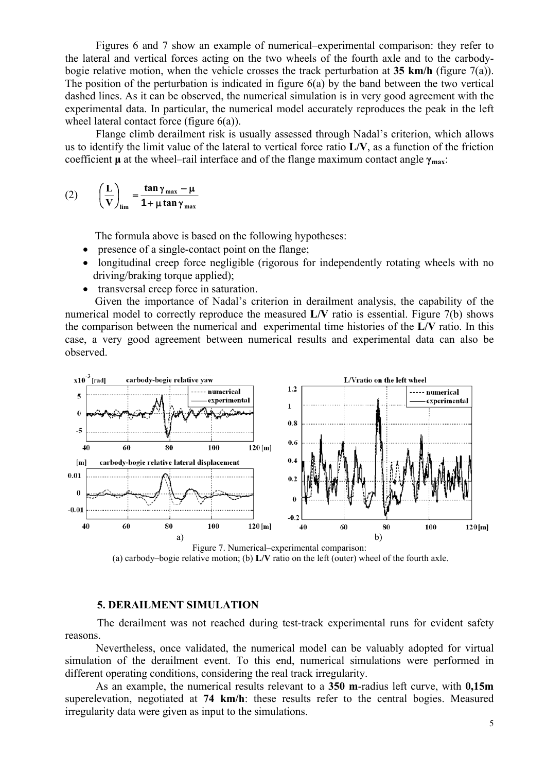Figures 6 and 7 show an example of numerical–experimental comparison: they refer to the lateral and vertical forces acting on the two wheels of the fourth axle and to the carbodybogie relative motion, when the vehicle crosses the track perturbation at **35 km/h** (figure 7(a)). The position of the perturbation is indicated in figure 6(a) by the band between the two vertical dashed lines. As it can be observed, the numerical simulation is in very good agreement with the experimental data. In particular, the numerical model accurately reproduces the peak in the left wheel lateral contact force (figure  $6(a)$ ).

Flange climb derailment risk is usually assessed through Nadal's criterion, which allows us to identify the limit value of the lateral to vertical force ratio **L/V**, as a function of the friction coefficient **μ** at the wheel–rail interface and of the flange maximum contact angle **γmax**:

$$
(2) \qquad \left(\frac{L}{V}\right)_{\lim} = \frac{\tan \gamma_{\max} - \mu}{1 + \mu \tan \gamma_{\max}}
$$

The formula above is based on the following hypotheses:

- presence of a single-contact point on the flange;
- longitudinal creep force negligible (rigorous for independently rotating wheels with no driving/braking torque applied);
- transversal creep force in saturation.

Given the importance of Nadal's criterion in derailment analysis, the capability of the numerical model to correctly reproduce the measured **L/V** ratio is essential. Figure 7(b) shows the comparison between the numerical and experimental time histories of the **L/V** ratio. In this case, a very good agreement between numerical results and experimental data can also be observed.



Figure 7. Numerical–experimental comparison: (a) carbody–bogie relative motion; (b) **L/V** ratio on the left (outer) wheel of the fourth axle.

#### **5. DERAILMENT SIMULATION**

The derailment was not reached during test-track experimental runs for evident safety reasons.

Nevertheless, once validated, the numerical model can be valuably adopted for virtual simulation of the derailment event. To this end, numerical simulations were performed in different operating conditions, considering the real track irregularity.

As an example, the numerical results relevant to a **350 m**-radius left curve, with **0,15m** superelevation, negotiated at **74 km/h**: these results refer to the central bogies. Measured irregularity data were given as input to the simulations.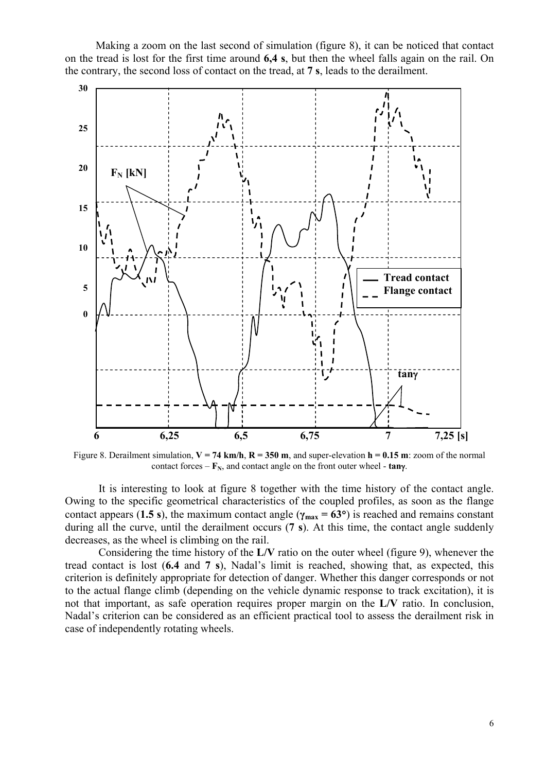Making a zoom on the last second of simulation (figure 8), it can be noticed that contact on the tread is lost for the first time around **6,4 s**, but then the wheel falls again on the rail. On the contrary, the second loss of contact on the tread, at **7 s**, leads to the derailment.



Figure 8. Derailment simulation,  $V = 74$  km/h,  $R = 350$  m, and super-elevation  $h = 0.15$  m: zoom of the normal contact forces –  $\mathbf{F}_N$ , and contact angle on the front outer wheel - **tany**.

It is interesting to look at figure 8 together with the time history of the contact angle. Owing to the specific geometrical characteristics of the coupled profiles, as soon as the flange contact appears (1.5 s), the maximum contact angle ( $\gamma_{\text{max}} = 63^{\circ}$ ) is reached and remains constant during all the curve, until the derailment occurs (**7 s**). At this time, the contact angle suddenly decreases, as the wheel is climbing on the rail.

Considering the time history of the **L/V** ratio on the outer wheel (figure 9), whenever the tread contact is lost (**6.4** and **7 s**), Nadal's limit is reached, showing that, as expected, this criterion is definitely appropriate for detection of danger. Whether this danger corresponds or not to the actual flange climb (depending on the vehicle dynamic response to track excitation), it is not that important, as safe operation requires proper margin on the **L/V** ratio. In conclusion, Nadal's criterion can be considered as an efficient practical tool to assess the derailment risk in case of independently rotating wheels.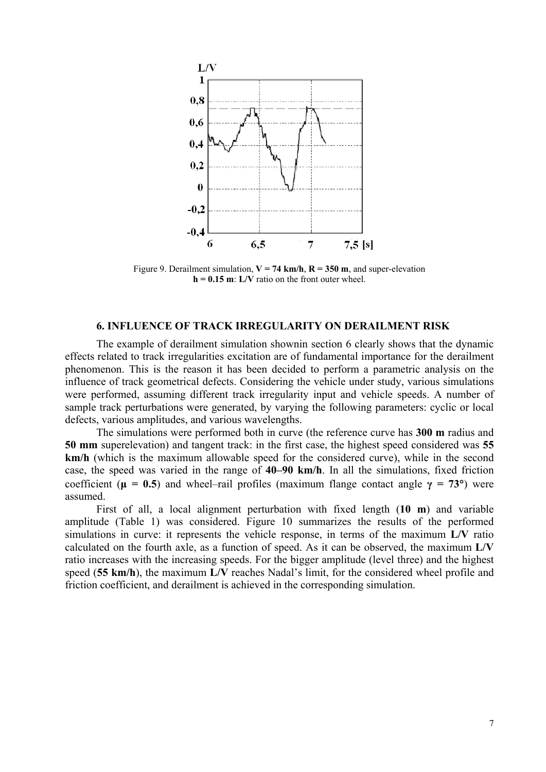

Figure 9. Derailment simulation,  $V = 74$  km/h,  $R = 350$  m, and super-elevation  $h = 0.15$  m:  $L/V$  ratio on the front outer wheel.

#### **6. INFLUENCE OF TRACK IRREGULARITY ON DERAILMENT RISK**

The example of derailment simulation shownin section 6 clearly shows that the dynamic effects related to track irregularities excitation are of fundamental importance for the derailment phenomenon. This is the reason it has been decided to perform a parametric analysis on the influence of track geometrical defects. Considering the vehicle under study, various simulations were performed, assuming different track irregularity input and vehicle speeds. A number of sample track perturbations were generated, by varying the following parameters: cyclic or local defects, various amplitudes, and various wavelengths.

The simulations were performed both in curve (the reference curve has **300 m** radius and **50 mm** superelevation) and tangent track: in the first case, the highest speed considered was **55 km/h** (which is the maximum allowable speed for the considered curve), while in the second case, the speed was varied in the range of **40–90 km/h**. In all the simulations, fixed friction coefficient ( $\mu = 0.5$ ) and wheel–rail profiles (maximum flange contact angle  $\gamma = 73^{\circ}$ ) were assumed.

First of all, a local alignment perturbation with fixed length (**10 m**) and variable amplitude (Table 1) was considered. Figure 10 summarizes the results of the performed simulations in curve: it represents the vehicle response, in terms of the maximum **L/V** ratio calculated on the fourth axle, as a function of speed. As it can be observed, the maximum **L/V** ratio increases with the increasing speeds. For the bigger amplitude (level three) and the highest speed (**55 km/h**), the maximum **L/V** reaches Nadal's limit, for the considered wheel profile and friction coefficient, and derailment is achieved in the corresponding simulation.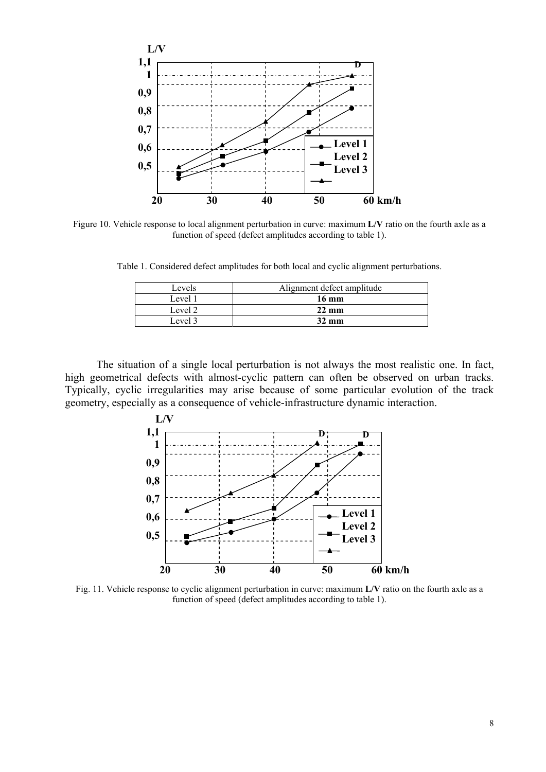

Figure 10. Vehicle response to local alignment perturbation in curve: maximum **L/V** ratio on the fourth axle as a function of speed (defect amplitudes according to table 1).

Table 1. Considered defect amplitudes for both local and cyclic alignment perturbations.

| Levels  | Alignment defect amplitude |
|---------|----------------------------|
| Level 1 | $16 \text{ mm}$            |
| Level 2 | $22 \text{ mm}$            |
| Level 3 | $32 \text{ mm}$            |

The situation of a single local perturbation is not always the most realistic one. In fact, high geometrical defects with almost-cyclic pattern can often be observed on urban tracks. Typically, cyclic irregularities may arise because of some particular evolution of the track geometry, especially as a consequence of vehicle-infrastructure dynamic interaction.



Fig. 11. Vehicle response to cyclic alignment perturbation in curve: maximum **L/V** ratio on the fourth axle as a function of speed (defect amplitudes according to table 1).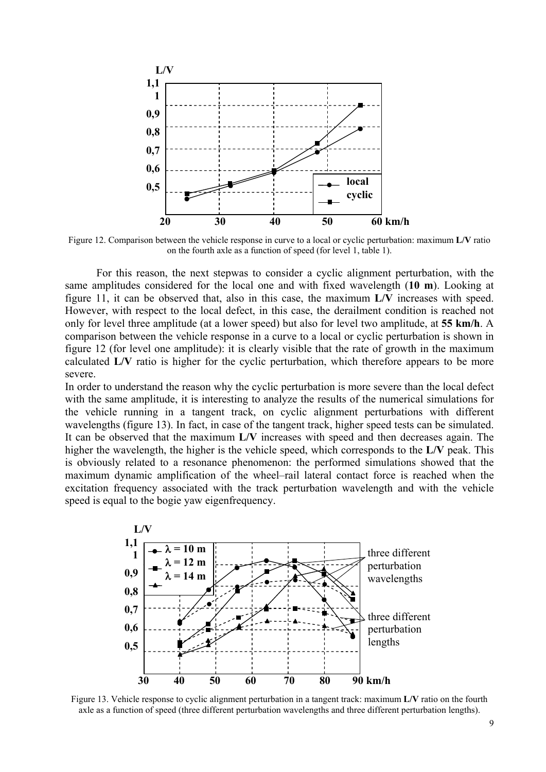

Figure 12. Comparison between the vehicle response in curve to a local or cyclic perturbation: maximum **L/V** ratio on the fourth axle as a function of speed (for level 1, table 1).

For this reason, the next stepwas to consider a cyclic alignment perturbation, with the same amplitudes considered for the local one and with fixed wavelength (**10 m**). Looking at figure 11, it can be observed that, also in this case, the maximum **L/V** increases with speed. However, with respect to the local defect, in this case, the derailment condition is reached not only for level three amplitude (at a lower speed) but also for level two amplitude, at **55 km/h**. A comparison between the vehicle response in a curve to a local or cyclic perturbation is shown in figure 12 (for level one amplitude): it is clearly visible that the rate of growth in the maximum calculated **L/V** ratio is higher for the cyclic perturbation, which therefore appears to be more severe.

In order to understand the reason why the cyclic perturbation is more severe than the local defect with the same amplitude, it is interesting to analyze the results of the numerical simulations for the vehicle running in a tangent track, on cyclic alignment perturbations with different wavelengths (figure 13). In fact, in case of the tangent track, higher speed tests can be simulated. It can be observed that the maximum **L/V** increases with speed and then decreases again. The higher the wavelength, the higher is the vehicle speed, which corresponds to the **L/V** peak. This is obviously related to a resonance phenomenon: the performed simulations showed that the maximum dynamic amplification of the wheel–rail lateral contact force is reached when the excitation frequency associated with the track perturbation wavelength and with the vehicle speed is equal to the bogie yaw eigenfrequency.



Figure 13. Vehicle response to cyclic alignment perturbation in a tangent track: maximum **L/V** ratio on the fourth axle as a function of speed (three different perturbation wavelengths and three different perturbation lengths).